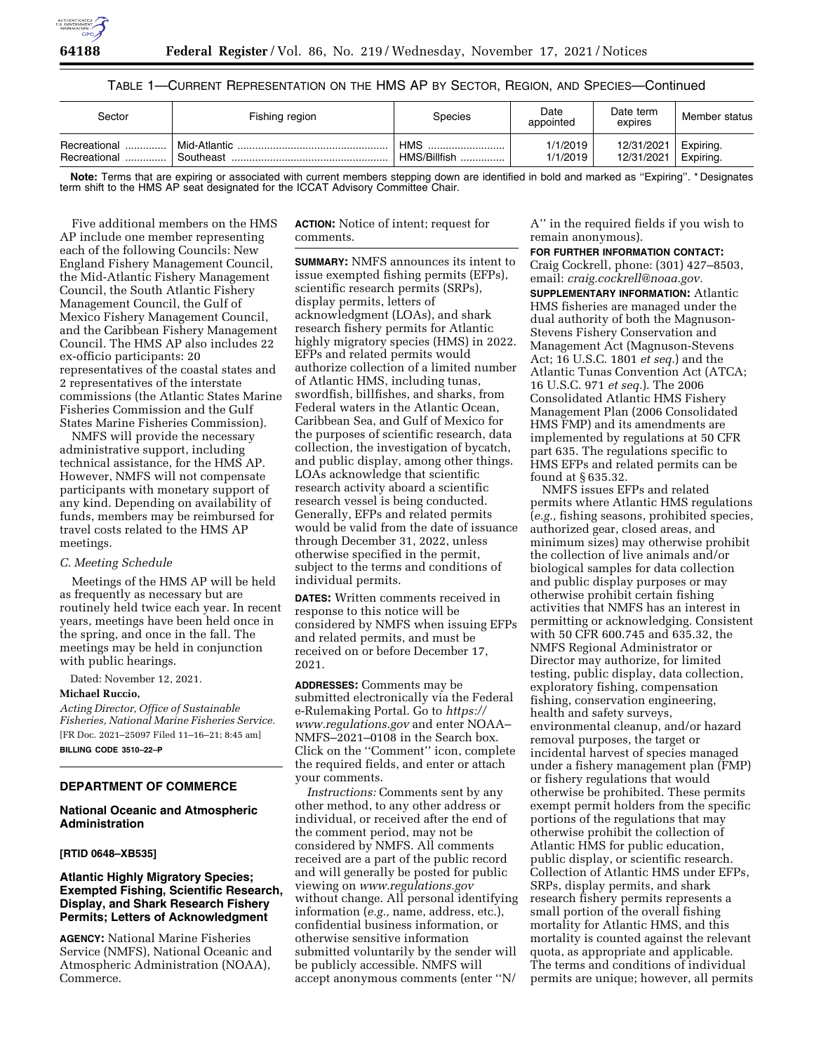

# TABLE 1—CURRENT REPRESENTATION ON THE HMS AP BY SECTOR, REGION, AND SPECIES—Continued

| Sector                       | Fishing region            | Species                        | Date<br>appointed    | Date term<br>expires     | Member status          |
|------------------------------|---------------------------|--------------------------------|----------------------|--------------------------|------------------------|
| Recreational<br>Recreational | Mid-Atlantic<br>Southeast | <b>HMS</b><br><br>HMS/Billfish | 1/1/2019<br>1/1/2019 | 12/31/2021<br>12/31/2021 | Expiring.<br>Expiring. |

**Note:** Terms that are expiring or associated with current members stepping down are identified in bold and marked as ''Expiring''. \* Designates term shift to the HMS AP seat designated for the ICCAT Advisory Committee Chair.

Five additional members on the HMS AP include one member representing each of the following Councils: New England Fishery Management Council, the Mid-Atlantic Fishery Management Council, the South Atlantic Fishery Management Council, the Gulf of Mexico Fishery Management Council, and the Caribbean Fishery Management Council. The HMS AP also includes 22 ex-officio participants: 20 representatives of the coastal states and 2 representatives of the interstate commissions (the Atlantic States Marine Fisheries Commission and the Gulf States Marine Fisheries Commission).

NMFS will provide the necessary administrative support, including technical assistance, for the HMS AP. However, NMFS will not compensate participants with monetary support of any kind. Depending on availability of funds, members may be reimbursed for travel costs related to the HMS AP meetings.

### *C. Meeting Schedule*

Meetings of the HMS AP will be held as frequently as necessary but are routinely held twice each year. In recent years, meetings have been held once in the spring, and once in the fall. The meetings may be held in conjunction with public hearings.

Dated: November 12, 2021.

## **Michael Ruccio,**

*Acting Director, Office of Sustainable Fisheries, National Marine Fisheries Service.*  [FR Doc. 2021–25097 Filed 11–16–21; 8:45 am] **BILLING CODE 3510–22–P** 

### **DEPARTMENT OF COMMERCE**

## **National Oceanic and Atmospheric Administration**

# **[RTID 0648–XB535]**

## **Atlantic Highly Migratory Species; Exempted Fishing, Scientific Research, Display, and Shark Research Fishery Permits; Letters of Acknowledgment**

**AGENCY:** National Marine Fisheries Service (NMFS), National Oceanic and Atmospheric Administration (NOAA), Commerce.

**ACTION:** Notice of intent; request for comments.

**SUMMARY:** NMFS announces its intent to issue exempted fishing permits (EFPs), scientific research permits (SRPs), display permits, letters of acknowledgment (LOAs), and shark research fishery permits for Atlantic highly migratory species (HMS) in 2022. EFPs and related permits would authorize collection of a limited number of Atlantic HMS, including tunas, swordfish, billfishes, and sharks, from Federal waters in the Atlantic Ocean, Caribbean Sea, and Gulf of Mexico for the purposes of scientific research, data collection, the investigation of bycatch, and public display, among other things. LOAs acknowledge that scientific research activity aboard a scientific research vessel is being conducted. Generally, EFPs and related permits would be valid from the date of issuance through December 31, 2022, unless otherwise specified in the permit, subject to the terms and conditions of individual permits.

**DATES:** Written comments received in response to this notice will be considered by NMFS when issuing EFPs and related permits, and must be received on or before December 17, 2021.

**ADDRESSES:** Comments may be submitted electronically via the Federal e-Rulemaking Portal. Go to *[https://](https://www.regulations.gov) [www.regulations.gov](https://www.regulations.gov)* and enter NOAA– NMFS–2021–0108 in the Search box. Click on the ''Comment'' icon, complete the required fields, and enter or attach your comments.

*Instructions:* Comments sent by any other method, to any other address or individual, or received after the end of the comment period, may not be considered by NMFS. All comments received are a part of the public record and will generally be posted for public viewing on *[www.regulations.gov](http://www.regulations.gov)*  without change. All personal identifying information (*e.g.,* name, address, etc.), confidential business information, or otherwise sensitive information submitted voluntarily by the sender will be publicly accessible. NMFS will accept anonymous comments (enter ''N/

A'' in the required fields if you wish to remain anonymous).

#### **FOR FURTHER INFORMATION CONTACT:**

Craig Cockrell, phone: (301) 427–8503, email: *[craig.cockrell@noaa.gov.](mailto:craig.cockrell@noaa.gov)* 

**SUPPLEMENTARY INFORMATION:** Atlantic HMS fisheries are managed under the dual authority of both the Magnuson-Stevens Fishery Conservation and Management Act (Magnuson-Stevens Act; 16 U.S.C. 1801 *et seq.*) and the Atlantic Tunas Convention Act (ATCA; 16 U.S.C. 971 *et seq.*). The 2006 Consolidated Atlantic HMS Fishery Management Plan (2006 Consolidated HMS FMP) and its amendments are implemented by regulations at 50 CFR part 635. The regulations specific to HMS EFPs and related permits can be found at § 635.32.

NMFS issues EFPs and related permits where Atlantic HMS regulations (*e.g.,* fishing seasons, prohibited species, authorized gear, closed areas, and minimum sizes) may otherwise prohibit the collection of live animals and/or biological samples for data collection and public display purposes or may otherwise prohibit certain fishing activities that NMFS has an interest in permitting or acknowledging. Consistent with 50 CFR 600.745 and 635.32, the NMFS Regional Administrator or Director may authorize, for limited testing, public display, data collection, exploratory fishing, compensation fishing, conservation engineering, health and safety surveys, environmental cleanup, and/or hazard removal purposes, the target or incidental harvest of species managed under a fishery management plan (FMP) or fishery regulations that would otherwise be prohibited. These permits exempt permit holders from the specific portions of the regulations that may otherwise prohibit the collection of Atlantic HMS for public education, public display, or scientific research. Collection of Atlantic HMS under EFPs, SRPs, display permits, and shark research fishery permits represents a small portion of the overall fishing mortality for Atlantic HMS, and this mortality is counted against the relevant quota, as appropriate and applicable. The terms and conditions of individual permits are unique; however, all permits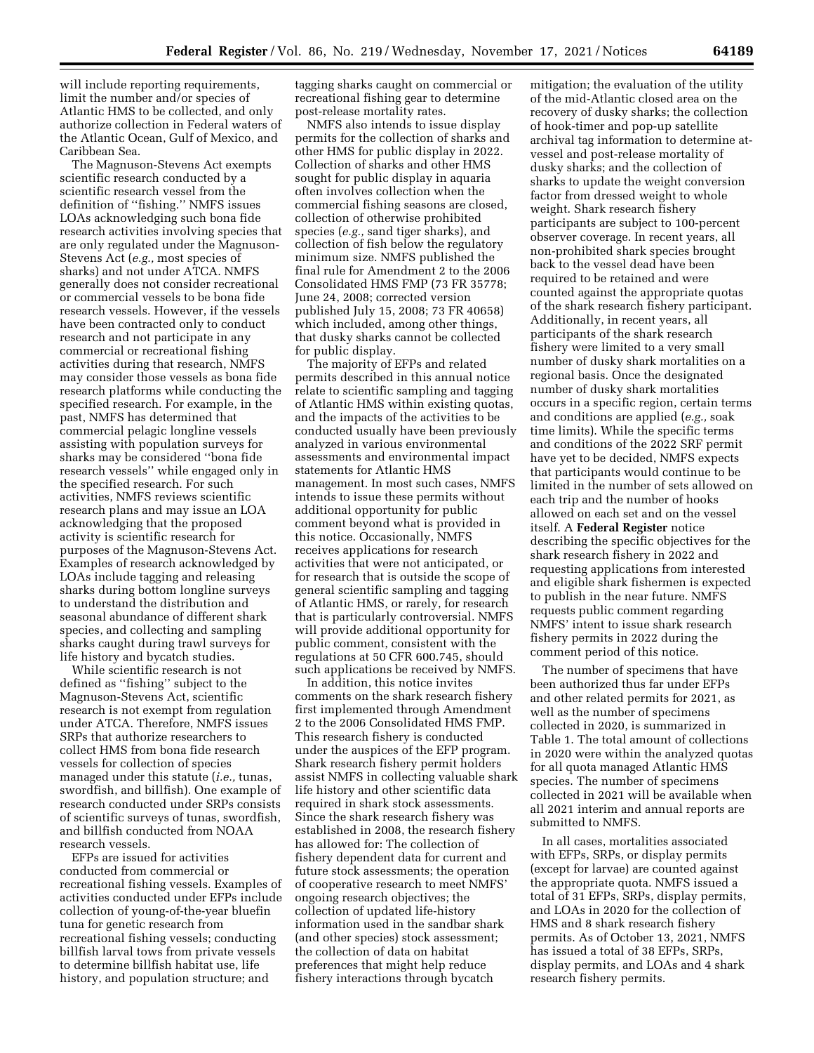will include reporting requirements, limit the number and/or species of Atlantic HMS to be collected, and only authorize collection in Federal waters of the Atlantic Ocean, Gulf of Mexico, and Caribbean Sea.

The Magnuson-Stevens Act exempts scientific research conducted by a scientific research vessel from the definition of ''fishing.'' NMFS issues LOAs acknowledging such bona fide research activities involving species that are only regulated under the Magnuson-Stevens Act (*e.g.,* most species of sharks) and not under ATCA. NMFS generally does not consider recreational or commercial vessels to be bona fide research vessels. However, if the vessels have been contracted only to conduct research and not participate in any commercial or recreational fishing activities during that research, NMFS may consider those vessels as bona fide research platforms while conducting the specified research. For example, in the past, NMFS has determined that commercial pelagic longline vessels assisting with population surveys for sharks may be considered ''bona fide research vessels'' while engaged only in the specified research. For such activities, NMFS reviews scientific research plans and may issue an LOA acknowledging that the proposed activity is scientific research for purposes of the Magnuson-Stevens Act. Examples of research acknowledged by LOAs include tagging and releasing sharks during bottom longline surveys to understand the distribution and seasonal abundance of different shark species, and collecting and sampling sharks caught during trawl surveys for life history and bycatch studies.

While scientific research is not defined as ''fishing'' subject to the Magnuson-Stevens Act, scientific research is not exempt from regulation under ATCA. Therefore, NMFS issues SRPs that authorize researchers to collect HMS from bona fide research vessels for collection of species managed under this statute (*i.e.,* tunas, swordfish, and billfish). One example of research conducted under SRPs consists of scientific surveys of tunas, swordfish, and billfish conducted from NOAA research vessels.

EFPs are issued for activities conducted from commercial or recreational fishing vessels. Examples of activities conducted under EFPs include collection of young-of-the-year bluefin tuna for genetic research from recreational fishing vessels; conducting billfish larval tows from private vessels to determine billfish habitat use, life history, and population structure; and

tagging sharks caught on commercial or recreational fishing gear to determine post-release mortality rates.

NMFS also intends to issue display permits for the collection of sharks and other HMS for public display in 2022. Collection of sharks and other HMS sought for public display in aquaria often involves collection when the commercial fishing seasons are closed, collection of otherwise prohibited species (*e.g.,* sand tiger sharks), and collection of fish below the regulatory minimum size. NMFS published the final rule for Amendment 2 to the 2006 Consolidated HMS FMP (73 FR 35778; June 24, 2008; corrected version published July 15, 2008; 73 FR 40658) which included, among other things, that dusky sharks cannot be collected for public display.

The majority of EFPs and related permits described in this annual notice relate to scientific sampling and tagging of Atlantic HMS within existing quotas, and the impacts of the activities to be conducted usually have been previously analyzed in various environmental assessments and environmental impact statements for Atlantic HMS management. In most such cases, NMFS intends to issue these permits without additional opportunity for public comment beyond what is provided in this notice. Occasionally, NMFS receives applications for research activities that were not anticipated, or for research that is outside the scope of general scientific sampling and tagging of Atlantic HMS, or rarely, for research that is particularly controversial. NMFS will provide additional opportunity for public comment, consistent with the regulations at 50 CFR 600.745, should such applications be received by NMFS.

In addition, this notice invites comments on the shark research fishery first implemented through Amendment 2 to the 2006 Consolidated HMS FMP. This research fishery is conducted under the auspices of the EFP program. Shark research fishery permit holders assist NMFS in collecting valuable shark life history and other scientific data required in shark stock assessments. Since the shark research fishery was established in 2008, the research fishery has allowed for: The collection of fishery dependent data for current and future stock assessments; the operation of cooperative research to meet NMFS' ongoing research objectives; the collection of updated life-history information used in the sandbar shark (and other species) stock assessment; the collection of data on habitat preferences that might help reduce fishery interactions through bycatch

mitigation; the evaluation of the utility of the mid-Atlantic closed area on the recovery of dusky sharks; the collection of hook-timer and pop-up satellite archival tag information to determine atvessel and post-release mortality of dusky sharks; and the collection of sharks to update the weight conversion factor from dressed weight to whole weight. Shark research fishery participants are subject to 100-percent observer coverage. In recent years, all non-prohibited shark species brought back to the vessel dead have been required to be retained and were counted against the appropriate quotas of the shark research fishery participant. Additionally, in recent years, all participants of the shark research fishery were limited to a very small number of dusky shark mortalities on a regional basis. Once the designated number of dusky shark mortalities occurs in a specific region, certain terms and conditions are applied (*e.g.,* soak time limits). While the specific terms and conditions of the 2022 SRF permit have yet to be decided, NMFS expects that participants would continue to be limited in the number of sets allowed on each trip and the number of hooks allowed on each set and on the vessel itself. A **Federal Register** notice describing the specific objectives for the shark research fishery in 2022 and requesting applications from interested and eligible shark fishermen is expected to publish in the near future. NMFS requests public comment regarding NMFS' intent to issue shark research fishery permits in 2022 during the comment period of this notice.

The number of specimens that have been authorized thus far under EFPs and other related permits for 2021, as well as the number of specimens collected in 2020, is summarized in Table 1. The total amount of collections in 2020 were within the analyzed quotas for all quota managed Atlantic HMS species. The number of specimens collected in 2021 will be available when all 2021 interim and annual reports are submitted to NMFS.

In all cases, mortalities associated with EFPs, SRPs, or display permits (except for larvae) are counted against the appropriate quota. NMFS issued a total of 31 EFPs, SRPs, display permits, and LOAs in 2020 for the collection of HMS and 8 shark research fishery permits. As of October 13, 2021, NMFS has issued a total of 38 EFPs, SRPs, display permits, and LOAs and 4 shark research fishery permits.